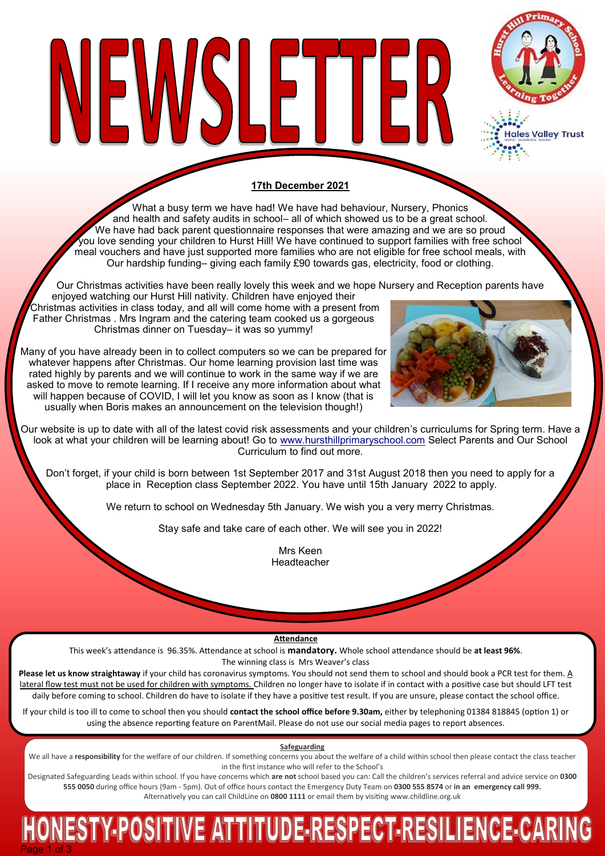

ales Valley Trust

## **17th December 2021**

What a busy term we have had! We have had behaviour, Nursery, Phonics and health and safety audits in school– all of which showed us to be a great school. We have had back parent questionnaire responses that were amazing and we are so proud you love sending your children to Hurst Hill! We have continued to support families with free school meal vouchers and have just supported more families who are not eligible for free school meals, with Our hardship funding– giving each family £90 towards gas, electricity, food or clothing.

Our Christmas activities have been really lovely this week and we hope Nursery and Reception parents have enjoyed watching our Hurst Hill nativity. Children have enjoyed their Christmas activities in class today, and all will come home with a present from Father Christmas . Mrs Ingram and the catering team cooked us a gorgeous Christmas dinner on Tuesday– it was so yummy!

NEWSLETTER

Many of you have already been in to collect computers so we can be prepared for whatever happens after Christmas. Our home learning provision last time was rated highly by parents and we will continue to work in the same way if we are asked to move to remote learning. If I receive any more information about what will happen because of COVID, I will let you know as soon as I know (that is usually when Boris makes an announcement on the television though!)



Our website is up to date with all of the latest covid risk assessments and your children's curriculums for Spring term. Have a look at what your children will be learning about! Go to [www.hursthillprimaryschool.com](http://www.hursthillprimaryschool.com) Select Parents and Our School Curriculum to find out more.

Don't forget, if your child is born between 1st September 2017 and 31st August 2018 then you need to apply for a place in Reception class September 2022. You have until 15th January 2022 to apply.

We return to school on Wednesday 5th January. We wish you a very merry Christmas.

Stay safe and take care of each other. We will see you in 2022!

Mrs Keen Headteacher

**Attendance**

This week's attendance is 96.35%. Attendance at school is **mandatory.** Whole school attendance should be **at least 96%**. The winning class is Mrs Weaver's class

**Please let us know straightaway** if your child has coronavirus symptoms. You should not send them to school and should book a PCR test for them. A lateral flow test must not be used for children with symptoms. Children no longer have to isolate if in contact with a positive case but should LFT test daily before coming to school. Children do have to isolate if they have a positive test result. If you are unsure, please contact the school office.

If your child is too ill to come to school then you should **contact the school office before 9.30am,** either by telephoning 01384 818845 (option 1) or using the absence reporting feature on ParentMail. Please do not use our social media pages to report absences.

**Safeguarding**

We all have a responsibility for the welfare of our children. If something concerns you about the welfare of a child within school then please contact the class teacher in the first instance who will refer to the School's

Designated Safeguarding Leads within school. If you have concerns which **are not** school based you can: Call the children's services referral and advice service on **0300 555 0050** during office hours (9am - 5pm). Out of office hours contact the Emergency Duty Team on **0300 555 8574** or **in an emergency call 999.**  Alternatively you can call ChildLine on **0800 1111** or email them by visiting [www.childline.org.uk](http://www.childline.org.uk/)

# HONESTY-POSITIVE ATTITUDE-RESPECT-RESILIENCE-CARING Page 1 of 3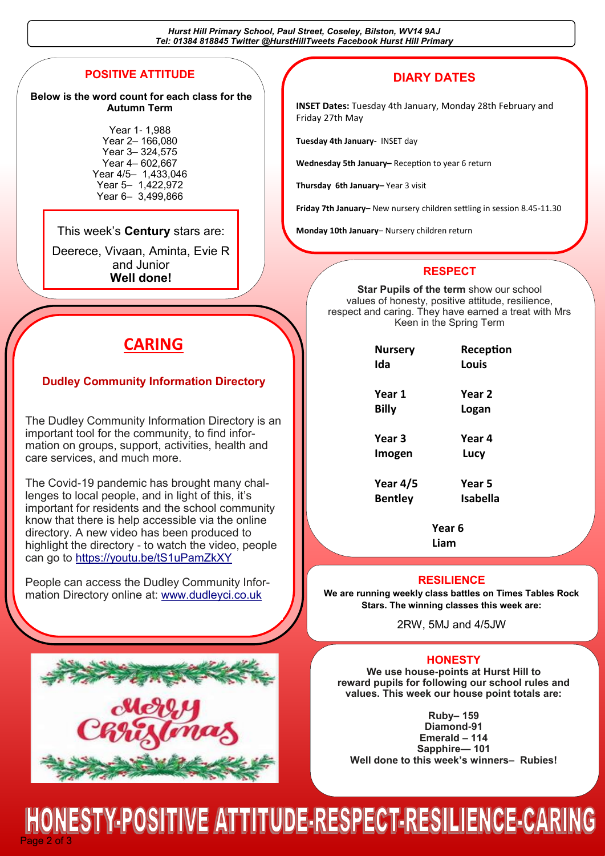*Hurst Hill Primary School, Paul Street, Coseley, Bilston, WV14 9AJ Tel: 01384 818845 Twitter @HurstHillTweets Facebook Hurst Hill Primary*

## **POSITIVE ATTITUDE**

#### **Below is the word count for each class for the Autumn Term**

Year 1- 1,988 Year 2– 166,080 Year 3– 324,575 Year 4– 602,667 Year 4/5– 1,433,046 Year 5– 1,422,972 Year 6– 3,499,866

#### This week's **Century** stars are: **Mullet Containery** 10th January– Nursery children return

Deerece, Vivaan, Aminta, Evie R and Junior **Well done!** 

# **CARING**

### **Dudley Community Information Directory**

The Dudley Community Information Directory is an important tool for the community, to find information on groups, support, activities, health and care services, and much more.

The Covid-19 pandemic has brought many challenges to local people, and in light of this, it's important for residents and the school community know that there is help accessible via the online directory. A new video has been produced to highlight the directory - to watch the video, people can go to <https://youtu.be/tS1uPamZkXY>

People can access the Dudley Community Information Directory online at: [www.dudleyci.co.uk](http://www.dudleyci.co.uk/)



# **DIARY DATES**

**INSET Dates:** Tuesday 4th January, Monday 28th February and Friday 27th May

**Tuesday 4th January-** INSET day

**Wednesday 5th January–** Reception to year 6 return

**Thursday 6th January–** Year 3 visit

**Friday 7th January**– New nursery children settling in session 8.45-11.30

### **RESPECT**

**Star Pupils of the term** show our school values of honesty, positive attitude, resilience, respect and caring. They have earned a treat with Mrs Keen in the Spring Term

| <b>Nursery</b><br>Ida | Reception<br>Louis |
|-----------------------|--------------------|
| Year 1                | Year 2             |
| <b>Billy</b>          | Logan              |
| Year 3                | Year 4             |
| Imogen                | Lucy               |
| Year 4/5              | Year 5             |
| Bentlev               | Isabella           |

**Year 6**

**Liam**

#### **RESILIENCE**

**We are running weekly class battles on Times Tables Rock Stars. The winning classes this week are:**

2RW, 5MJ and 4/5JW

#### **HONESTY**

**We use house-points at Hurst Hill to reward pupils for following our school rules and values. This week our house point totals are:**

**Ruby– 159 Diamond-91 Emerald – 114 Sapphire— 101 Well done to this week's winners– Rubies!**

Page 2 of 3